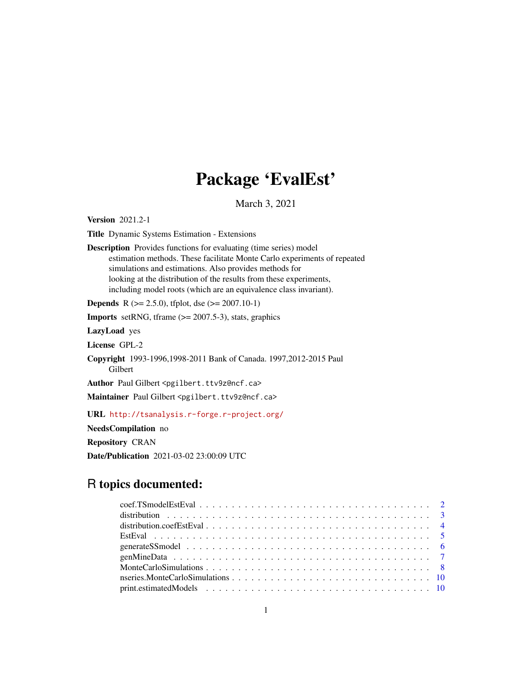## Package 'EvalEst'

March 3, 2021

<span id="page-0-0"></span>Version 2021.2-1

Title Dynamic Systems Estimation - Extensions

Description Provides functions for evaluating (time series) model estimation methods. These facilitate Monte Carlo experiments of repeated simulations and estimations. Also provides methods for looking at the distribution of the results from these experiments, including model roots (which are an equivalence class invariant).

**Depends** R ( $>= 2.5.0$ ), tfplot, dse ( $>= 2007.10-1$ )

**Imports** setRNG, tframe  $(>= 2007.5-3)$ , stats, graphics

LazyLoad yes

License GPL-2

Copyright 1993-1996,1998-2011 Bank of Canada. 1997,2012-2015 Paul Gilbert

Author Paul Gilbert <pgilbert.ttv9z@ncf.ca>

Maintainer Paul Gilbert <pgilbert.ttv9z@ncf.ca>

URL <http://tsanalysis.r-forge.r-project.org/>

NeedsCompilation no

Repository CRAN

Date/Publication 2021-03-02 23:00:09 UTC

## R topics documented: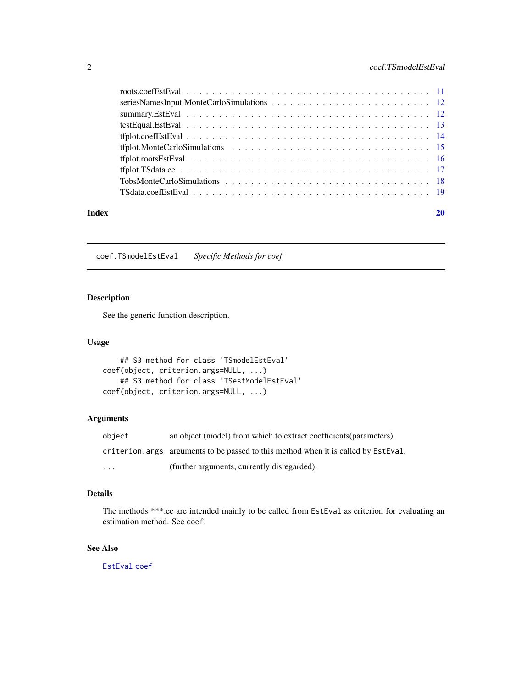#### <span id="page-1-0"></span>2 coef.TSmodelEstEval

| Index |  |
|-------|--|
|       |  |
|       |  |
|       |  |
|       |  |
|       |  |
|       |  |
|       |  |
|       |  |
|       |  |
|       |  |

coef.TSmodelEstEval *Specific Methods for coef*

#### Description

See the generic function description.

#### Usage

```
## S3 method for class 'TSmodelEstEval'
coef(object, criterion.args=NULL, ...)
    ## S3 method for class 'TSestModelEstEval'
coef(object, criterion.args=NULL, ...)
```
#### Arguments

| obiect   | an object (model) from which to extract coefficients (parameters).                  |
|----------|-------------------------------------------------------------------------------------|
|          | criterion, args arguments to be passed to this method when it is called by EstEval. |
| $\cdots$ | (further arguments, currently disregarded).                                         |

#### Details

The methods \*\*\*.ee are intended mainly to be called from EstEval as criterion for evaluating an estimation method. See coef.

#### See Also

[EstEval](#page-4-1) [coef](#page-0-0)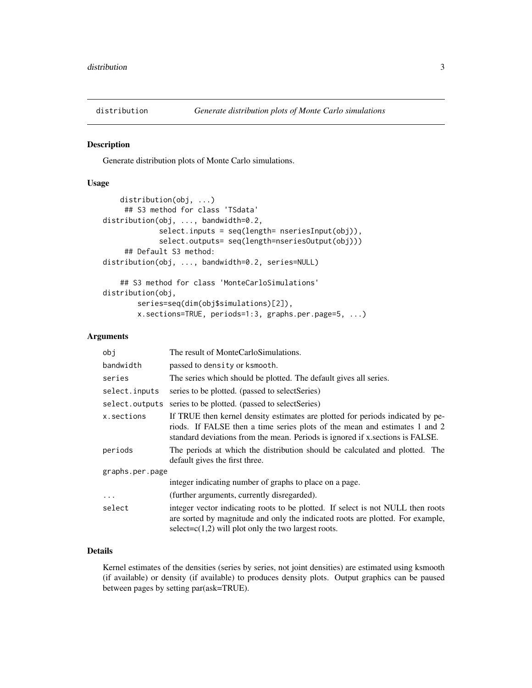<span id="page-2-1"></span><span id="page-2-0"></span>

#### <span id="page-2-2"></span>Description

Generate distribution plots of Monte Carlo simulations.

#### Usage

```
distribution(obj, ...)
     ## S3 method for class 'TSdata'
distribution(obj, ..., bandwidth=0.2,
             select.inputs = seq(length= nseriesInput(obj)),
             select.outputs= seq(length=nseriesOutput(obj)))
     ## Default S3 method:
distribution(obj, ..., bandwidth=0.2, series=NULL)
    ## S3 method for class 'MonteCarloSimulations'
distribution(obj,
       series=seq(dim(obj$simulations)[2]),
       x.sections=TRUE, periods=1:3, graphs.per.page=5, ...)
```
#### Arguments

| obj             | The result of MonteCarloSimulations.                                                                                                                                                                                                          |
|-----------------|-----------------------------------------------------------------------------------------------------------------------------------------------------------------------------------------------------------------------------------------------|
| bandwidth       | passed to density or ksmooth.                                                                                                                                                                                                                 |
| series          | The series which should be plotted. The default gives all series.                                                                                                                                                                             |
| select.inputs   | series to be plotted. (passed to selectSeries)                                                                                                                                                                                                |
| select.outputs  | series to be plotted. (passed to select Series)                                                                                                                                                                                               |
| x.sections      | If TRUE then kernel density estimates are plotted for periods indicated by pe-<br>riods. If FALSE then a time series plots of the mean and estimates 1 and 2<br>standard deviations from the mean. Periods is ignored if x sections is FALSE. |
| periods         | The periods at which the distribution should be calculated and plotted. The<br>default gives the first three.                                                                                                                                 |
| graphs.per.page |                                                                                                                                                                                                                                               |
|                 | integer indicating number of graphs to place on a page.                                                                                                                                                                                       |
| $\cdots$        | (further arguments, currently disregarded).                                                                                                                                                                                                   |
| select          | integer vector indicating roots to be plotted. If select is not NULL then roots<br>are sorted by magnitude and only the indicated roots are plotted. For example,<br>select= $c(1,2)$ will plot only the two largest roots.                   |

#### Details

Kernel estimates of the densities (series by series, not joint densities) are estimated using ksmooth (if available) or density (if available) to produces density plots. Output graphics can be paused between pages by setting par(ask=TRUE).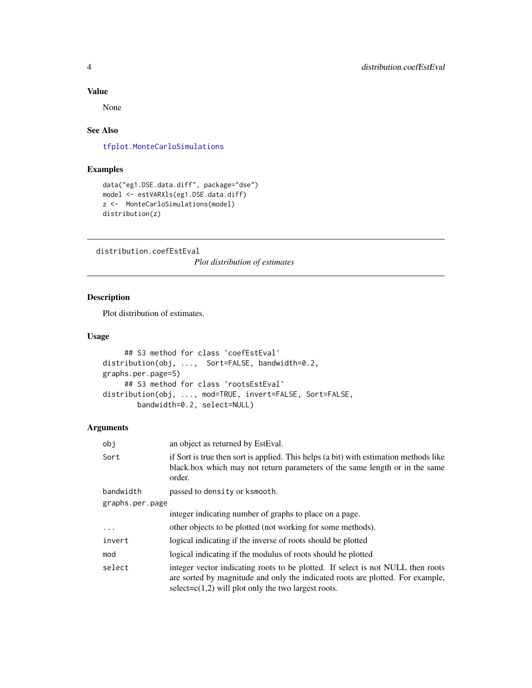#### <span id="page-3-0"></span>Value

None

#### See Also

[tfplot.MonteCarloSimulations](#page-14-1)

#### Examples

```
data("eg1.DSE.data.diff", package="dse")
model <- estVARXls(eg1.DSE.data.diff)
z <- MonteCarloSimulations(model)
distribution(z)
```
distribution.coefEstEval

*Plot distribution of estimates*

#### Description

Plot distribution of estimates.

#### Usage

```
## S3 method for class 'coefEstEval'
distribution(obj, ..., Sort=FALSE, bandwidth=0.2,
graphs.per.page=5)
     ## S3 method for class 'rootsEstEval'
distribution(obj, ..., mod=TRUE, invert=FALSE, Sort=FALSE,
        bandwidth=0.2, select=NULL)
```

| obj             | an object as returned by EstEval.                                                                                                                                                                                           |  |
|-----------------|-----------------------------------------------------------------------------------------------------------------------------------------------------------------------------------------------------------------------------|--|
| Sort            | if Sort is true then sort is applied. This helps (a bit) with estimation methods like<br>black box which may not return parameters of the same length or in the same<br>order.                                              |  |
| bandwidth       | passed to density or ksmooth.                                                                                                                                                                                               |  |
| graphs.per.page |                                                                                                                                                                                                                             |  |
|                 | integer indicating number of graphs to place on a page.                                                                                                                                                                     |  |
| $\cdots$        | other objects to be plotted (not working for some methods).                                                                                                                                                                 |  |
| invert          | logical indicating if the inverse of roots should be plotted                                                                                                                                                                |  |
| mod             | logical indicating if the modulus of roots should be plotted                                                                                                                                                                |  |
| select          | integer vector indicating roots to be plotted. If select is not NULL then roots<br>are sorted by magnitude and only the indicated roots are plotted. For example,<br>select= $c(1,2)$ will plot only the two largest roots. |  |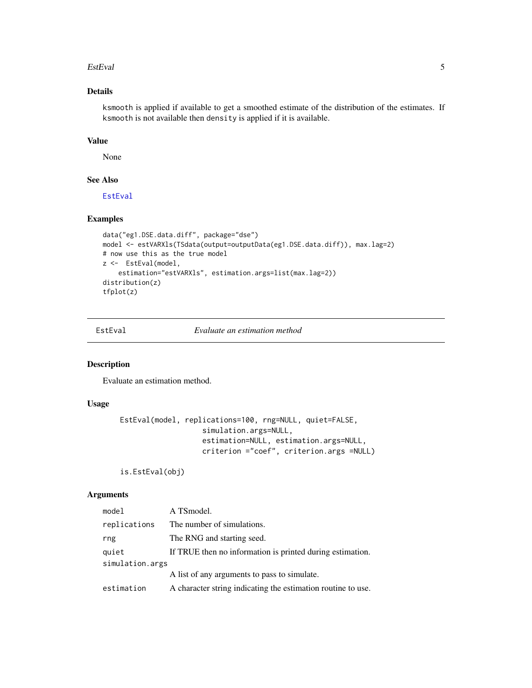#### <span id="page-4-0"></span>EstEval 5

#### Details

ksmooth is applied if available to get a smoothed estimate of the distribution of the estimates. If ksmooth is not available then density is applied if it is available.

#### Value

None

#### See Also

[EstEval](#page-4-1)

#### Examples

```
data("eg1.DSE.data.diff", package="dse")
model <- estVARXls(TSdata(output=outputData(eg1.DSE.data.diff)), max.lag=2)
# now use this as the true model
z <- EstEval(model,
   estimation="estVARXls", estimation.args=list(max.lag=2))
distribution(z)
tfplot(z)
```
<span id="page-4-1"></span>

#### EstEval *Evaluate an estimation method*

#### Description

Evaluate an estimation method.

#### Usage

```
EstEval(model, replications=100, rng=NULL, quiet=FALSE,
                   simulation.args=NULL,
                   estimation=NULL, estimation.args=NULL,
                   criterion ="coef", criterion.args =NULL)
```
#### is.EstEval(obj)

| model           | A TSmodel.                                                   |  |
|-----------------|--------------------------------------------------------------|--|
| replications    | The number of simulations.                                   |  |
| rng             | The RNG and starting seed.                                   |  |
| quiet           | If TRUE then no information is printed during estimation.    |  |
| simulation.args |                                                              |  |
|                 | A list of any arguments to pass to simulate.                 |  |
| estimation      | A character string indicating the estimation routine to use. |  |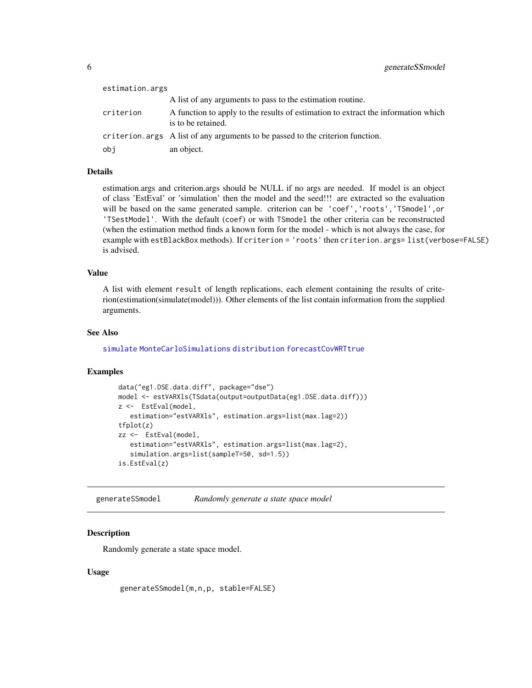<span id="page-5-0"></span>

| estimation.args |                                                                                                         |
|-----------------|---------------------------------------------------------------------------------------------------------|
|                 | A list of any arguments to pass to the estimation routine.                                              |
| criterion       | A function to apply to the results of estimation to extract the information which<br>is to be retained. |
|                 | criterion.args A list of any arguments to be passed to the criterion function.                          |
| obj             | an object.                                                                                              |

#### Details

estimation.args and criterion.args should be NULL if no args are needed. If model is an object of class 'EstEval' or 'simulation' then the model and the seed!!! are extracted so the evaluation will be based on the same generated sample. criterion can be 'coef','roots','TSmodel',or 'TSestModel'. With the default (coef) or with TSmodel the other criteria can be reconstructed (when the estimation method finds a known form for the model - which is not always the case, for example with estBlackBox methods). If criterion = 'roots' then criterion.args= list(verbose=FALSE) is advised.

#### Value

A list with element result of length replications, each element containing the results of criterion(estimation(simulate(model))). Other elements of the list contain information from the supplied arguments.

#### See Also

[simulate](#page-0-0) [MonteCarloSimulations](#page-7-1) [distribution](#page-2-1) [forecastCovWRTtrue](#page-0-0)

#### Examples

```
data("eg1.DSE.data.diff", package="dse")
model <- estVARXls(TSdata(output=outputData(eg1.DSE.data.diff)))
z <- EstEval(model,
   estimation="estVARXls", estimation.args=list(max.lag=2))
tfplot(z)
zz <- EstEval(model,
   estimation="estVARXls", estimation.args=list(max.lag=2),
   simulation.args=list(sampleT=50, sd=1.5))
is.EstEval(z)
```
generateSSmodel *Randomly generate a state space model*

#### Description

Randomly generate a state space model.

#### Usage

generateSSmodel(m,n,p, stable=FALSE)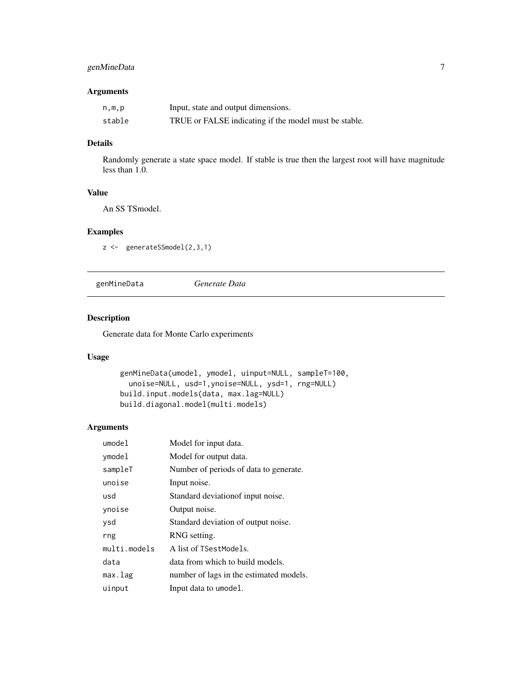#### <span id="page-6-0"></span>genMineData 7

#### Arguments

| n,m,p  | Input, state and output dimensions.                   |
|--------|-------------------------------------------------------|
| stable | TRUE or FALSE indicating if the model must be stable. |

#### Details

Randomly generate a state space model. If stable is true then the largest root will have magnitude less than 1.0.

#### Value

An SS TSmodel.

#### Examples

```
z <- generateSSmodel(2,3,1)
```
genMineData *Generate Data*

#### Description

Generate data for Monte Carlo experiments

#### Usage

```
genMineData(umodel, ymodel, uinput=NULL, sampleT=100,
 unoise=NULL, usd=1,ynoise=NULL, ysd=1, rng=NULL)
build.input.models(data, max.lag=NULL)
build.diagonal.model(multi.models)
```

| umode1       | Model for input data.                   |
|--------------|-----------------------------------------|
| ymodel       | Model for output data.                  |
| sampleT      | Number of periods of data to generate.  |
| unoise       | Input noise.                            |
| usd          | Standard deviation of input noise.      |
| ynoise       | Output noise.                           |
| ysd          | Standard deviation of output noise.     |
| rng          | RNG setting.                            |
| multi.models | A list of TSestModels.                  |
| data         | data from which to build models.        |
| max.lag      | number of lags in the estimated models. |
| uinput       | Input data to umodel.                   |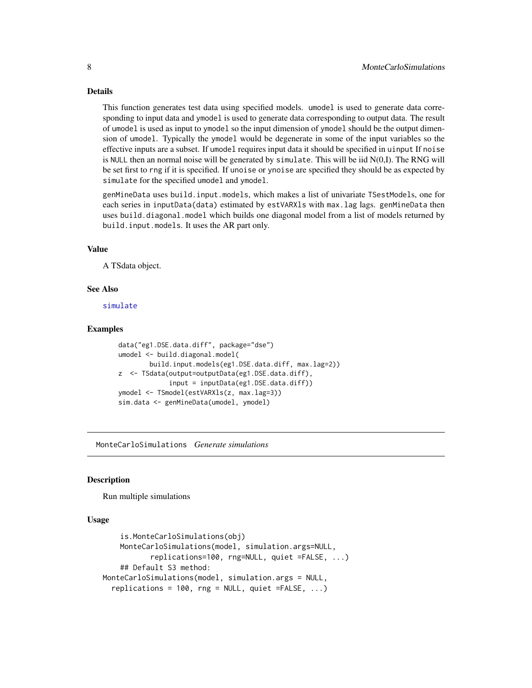#### Details

This function generates test data using specified models. umodel is used to generate data corresponding to input data and ymodel is used to generate data corresponding to output data. The result of umodel is used as input to ymodel so the input dimension of ymodel should be the output dimension of umodel. Typically the ymodel would be degenerate in some of the input variables so the effective inputs are a subset. If umodel requires input data it should be specified in uinput If noise is NULL then an normal noise will be generated by simulate. This will be iid  $N(0,I)$ . The RNG will be set first to rng if it is specified. If unoise or ynoise are specified they should be as expected by simulate for the specified umodel and ymodel.

genMineData uses build.input.models, which makes a list of univariate TSestModels, one for each series in inputData(data) estimated by estVARXls with max. lag lags. genMineData then uses build.diagonal.model which builds one diagonal model from a list of models returned by build.input.models. It uses the AR part only.

#### Value

A TSdata object.

#### See Also

[simulate](#page-0-0)

#### Examples

```
data("eg1.DSE.data.diff", package="dse")
umodel <- build.diagonal.model(
       build.input.models(eg1.DSE.data.diff, max.lag=2))
z <- TSdata(output=outputData(eg1.DSE.data.diff),
             input = inputData(eg1.DSE.data.diff))
ymodel <- TSmodel(estVARXls(z, max.lag=3))
sim.data <- genMineData(umodel, ymodel)
```
<span id="page-7-1"></span>MonteCarloSimulations *Generate simulations*

#### **Description**

Run multiple simulations

#### Usage

```
is.MonteCarloSimulations(obj)
    MonteCarloSimulations(model, simulation.args=NULL,
           replications=100, rng=NULL, quiet =FALSE, ...)
    ## Default S3 method:
MonteCarloSimulations(model, simulation.args = NULL,
  replications = 100, rng = NULL, quiet = FALSE, ...)
```
<span id="page-7-0"></span>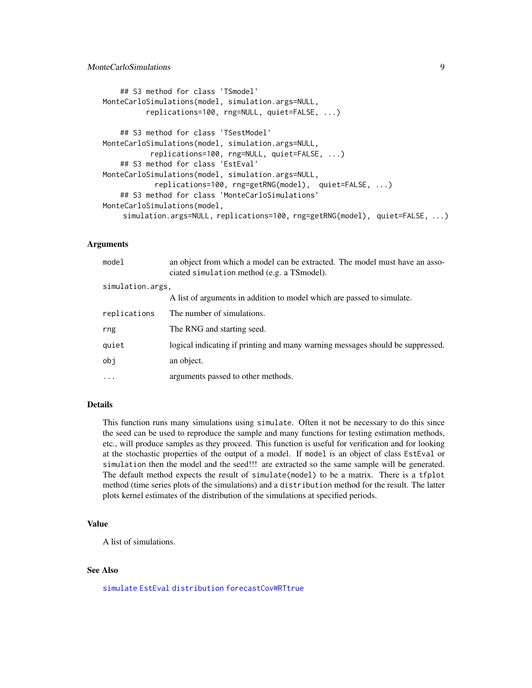#### <span id="page-8-0"></span>MonteCarloSimulations 9

```
## S3 method for class 'TSmodel'
MonteCarloSimulations(model, simulation.args=NULL,
          replications=100, rng=NULL, quiet=FALSE, ...)
    ## S3 method for class 'TSestModel'
MonteCarloSimulations(model, simulation.args=NULL,
           replications=100, rng=NULL, quiet=FALSE, ...)
    ## S3 method for class 'EstEval'
MonteCarloSimulations(model, simulation.args=NULL,
            replications=100, rng=getRNG(model), quiet=FALSE, ...)
    ## S3 method for class 'MonteCarloSimulations'
MonteCarloSimulations(model,
    simulation.args=NULL, replications=100, rng=getRNG(model), quiet=FALSE, ...)
```
#### Arguments

| model            | an object from which a model can be extracted. The model must have an asso-<br>ciated simulation method (e.g. a TSmodel). |
|------------------|---------------------------------------------------------------------------------------------------------------------------|
| simulation.args, |                                                                                                                           |
|                  | A list of arguments in addition to model which are passed to simulate.                                                    |
| replications     | The number of simulations.                                                                                                |
| rng              | The RNG and starting seed.                                                                                                |
| quiet            | logical indicating if printing and many warning messages should be suppressed.                                            |
| obj              | an object.                                                                                                                |
| $\cdots$         | arguments passed to other methods.                                                                                        |

#### Details

This function runs many simulations using simulate. Often it not be necessary to do this since the seed can be used to reproduce the sample and many functions for testing estimation methods, etc., will produce samples as they proceed. This function is useful for verification and for looking at the stochastic properties of the output of a model. If model is an object of class EstEval or simulation then the model and the seed!!! are extracted so the same sample will be generated. The default method expects the result of simulate(model) to be a matrix. There is a tfplot method (time series plots of the simulations) and a distribution method for the result. The latter plots kernel estimates of the distribution of the simulations at specified periods.

#### Value

A list of simulations.

#### See Also

[simulate](#page-0-0) [EstEval](#page-4-1) [distribution](#page-2-1) [forecastCovWRTtrue](#page-0-0)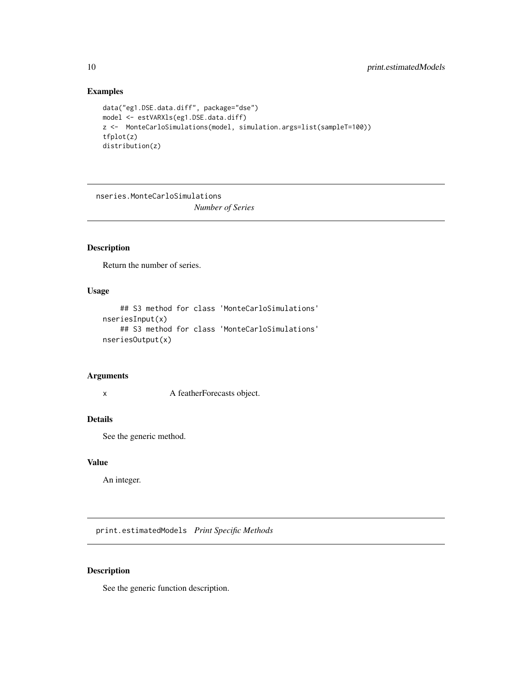#### <span id="page-9-0"></span>Examples

```
data("eg1.DSE.data.diff", package="dse")
model <- estVARXls(eg1.DSE.data.diff)
z <- MonteCarloSimulations(model, simulation.args=list(sampleT=100))
tfplot(z)
distribution(z)
```
nseries.MonteCarloSimulations

*Number of Series*

#### Description

Return the number of series.

#### Usage

```
## S3 method for class 'MonteCarloSimulations'
nseriesInput(x)
    ## S3 method for class 'MonteCarloSimulations'
nseriesOutput(x)
```
#### Arguments

x A featherForecasts object.

#### Details

See the generic method.

#### Value

An integer.

print.estimatedModels *Print Specific Methods*

#### Description

See the generic function description.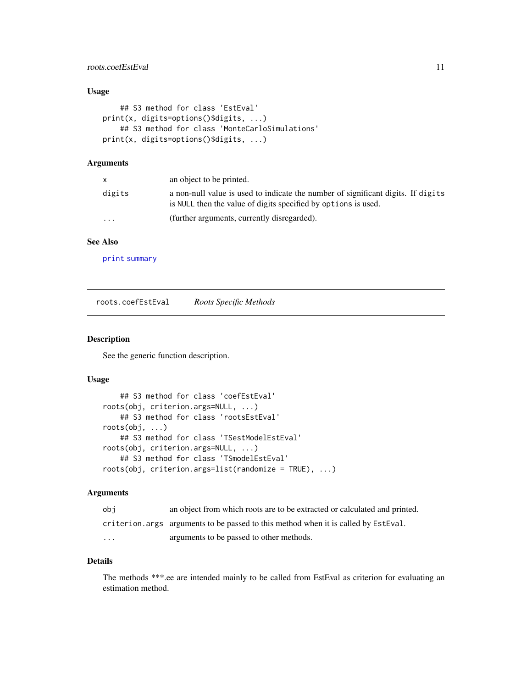#### <span id="page-10-0"></span>roots.coefEstEval 11

#### Usage

```
## S3 method for class 'EstEval'
print(x, digits=options()$digits, ...)
    ## S3 method for class 'MonteCarloSimulations'
print(x, digits=options()$digits, ...)
```
#### Arguments

|                         | an object to be printed.                                                                                                                           |
|-------------------------|----------------------------------------------------------------------------------------------------------------------------------------------------|
| digits                  | a non-null value is used to indicate the number of significant digits. If digits<br>is NULL then the value of digits specified by options is used. |
| $\cdot$ $\cdot$ $\cdot$ | (further arguments, currently disregarded).                                                                                                        |

#### See Also

[print](#page-0-0) [summary](#page-0-0)

roots.coefEstEval *Roots Specific Methods*

#### Description

See the generic function description.

#### Usage

```
## S3 method for class 'coefEstEval'
roots(obj, criterion.args=NULL, ...)
    ## S3 method for class 'rootsEstEval'
roots(obj, ...)
   ## S3 method for class 'TSestModelEstEval'
roots(obj, criterion.args=NULL, ...)
   ## S3 method for class 'TSmodelEstEval'
roots(obj, criterion.args=list(randomize = TRUE), ...)
```
#### Arguments

| obi     | an object from which roots are to be extracted or calculated and printed.           |
|---------|-------------------------------------------------------------------------------------|
|         | criterion. args arguments to be passed to this method when it is called by EstEval. |
| $\cdot$ | arguments to be passed to other methods.                                            |

#### Details

The methods \*\*\*.ee are intended mainly to be called from EstEval as criterion for evaluating an estimation method.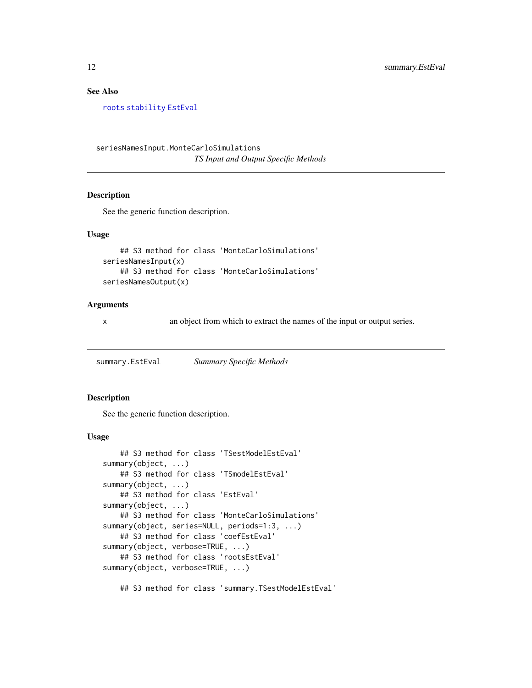#### <span id="page-11-0"></span>See Also

[roots](#page-0-0) [stability](#page-0-0) [EstEval](#page-4-1)

seriesNamesInput.MonteCarloSimulations *TS Input and Output Specific Methods*

#### Description

See the generic function description.

#### Usage

```
## S3 method for class 'MonteCarloSimulations'
seriesNamesInput(x)
    ## S3 method for class 'MonteCarloSimulations'
seriesNamesOutput(x)
```
#### Arguments

x an object from which to extract the names of the input or output series.

summary.EstEval *Summary Specific Methods*

#### Description

See the generic function description.

#### Usage

```
## S3 method for class 'TSestModelEstEval'
summary(object, ...)
   ## S3 method for class 'TSmodelEstEval'
summary(object, ...)
   ## S3 method for class 'EstEval'
summary(object, ...)
   ## S3 method for class 'MonteCarloSimulations'
summary(object, series=NULL, periods=1:3, ...)
   ## S3 method for class 'coefEstEval'
summary(object, verbose=TRUE, ...)
   ## S3 method for class 'rootsEstEval'
summary(object, verbose=TRUE, ...)
```
## S3 method for class 'summary.TSestModelEstEval'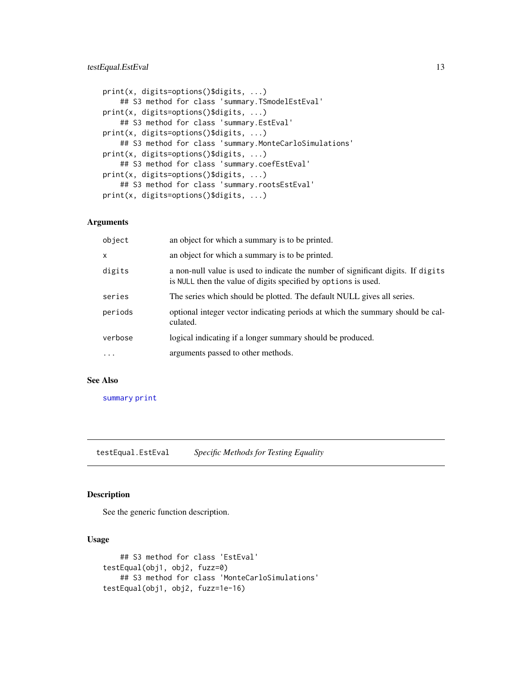#### <span id="page-12-0"></span>testEqual.EstEval 13

```
print(x, digits=options()$digits, ...)
    ## S3 method for class 'summary.TSmodelEstEval'
print(x, digits=options()$digits, ...)
    ## S3 method for class 'summary.EstEval'
print(x, digits=options()$digits, ...)
    ## S3 method for class 'summary.MonteCarloSimulations'
print(x, digits=options()$digits, ...)
    ## S3 method for class 'summary.coefEstEval'
print(x, digits=options()$digits, ...)
    ## S3 method for class 'summary.rootsEstEval'
print(x, digits=options()$digits, ...)
```
#### Arguments

| object   | an object for which a summary is to be printed.                                                                                                    |
|----------|----------------------------------------------------------------------------------------------------------------------------------------------------|
| x        | an object for which a summary is to be printed.                                                                                                    |
| digits   | a non-null value is used to indicate the number of significant digits. If digits<br>is NULL then the value of digits specified by options is used. |
| series   | The series which should be plotted. The default NULL gives all series.                                                                             |
| periods  | optional integer vector indicating periods at which the summary should be cal-<br>culated.                                                         |
| verbose  | logical indicating if a longer summary should be produced.                                                                                         |
| $\cdots$ | arguments passed to other methods.                                                                                                                 |

#### See Also

[summary](#page-0-0) [print](#page-0-0)

testEqual.EstEval *Specific Methods for Testing Equality*

#### Description

See the generic function description.

#### Usage

```
## S3 method for class 'EstEval'
testEqual(obj1, obj2, fuzz=0)
   ## S3 method for class 'MonteCarloSimulations'
testEqual(obj1, obj2, fuzz=1e-16)
```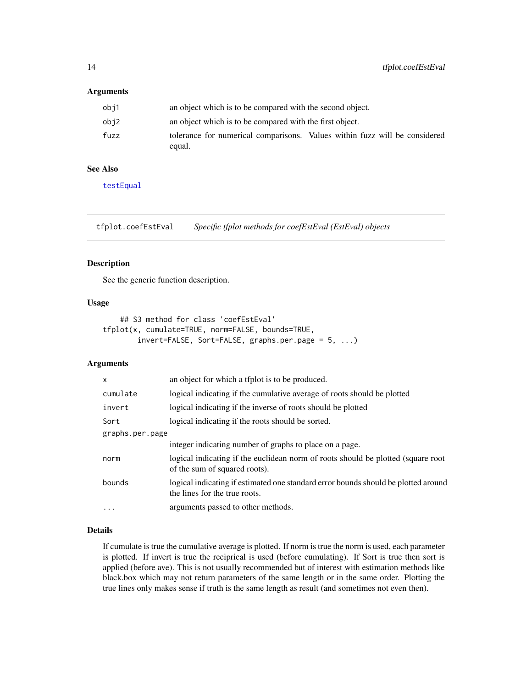#### <span id="page-13-0"></span>Arguments

| obi1 | an object which is to be compared with the second object.                            |
|------|--------------------------------------------------------------------------------------|
| obj2 | an object which is to be compared with the first object.                             |
| fuzz | tolerance for numerical comparisons. Values within fuzz will be considered<br>equal. |

#### See Also

[testEqual](#page-0-0)

tfplot.coefEstEval *Specific tfplot methods for coefEstEval (EstEval) objects*

#### Description

See the generic function description.

#### Usage

```
## S3 method for class 'coefEstEval'
tfplot(x, cumulate=TRUE, norm=FALSE, bounds=TRUE,
       invert=FALSE, Sort=FALSE, graphs.per.page = 5, ...)
```
#### Arguments

| $\mathsf{x}$    | an object for which a tfplot is to be produced.                                                                     |
|-----------------|---------------------------------------------------------------------------------------------------------------------|
| cumulate        | logical indicating if the cumulative average of roots should be plotted                                             |
| invert          | logical indicating if the inverse of roots should be plotted                                                        |
| Sort            | logical indicating if the roots should be sorted.                                                                   |
| graphs.per.page |                                                                                                                     |
|                 | integer indicating number of graphs to place on a page.                                                             |
| norm            | logical indicating if the euclidean norm of roots should be plotted (square root<br>of the sum of squared roots).   |
| bounds          | logical indicating if estimated one standard error bounds should be plotted around<br>the lines for the true roots. |
| $\cdots$        | arguments passed to other methods.                                                                                  |

#### Details

If cumulate is true the cumulative average is plotted. If norm is true the norm is used, each parameter is plotted. If invert is true the reciprical is used (before cumulating). If Sort is true then sort is applied (before ave). This is not usually recommended but of interest with estimation methods like black.box which may not return parameters of the same length or in the same order. Plotting the true lines only makes sense if truth is the same length as result (and sometimes not even then).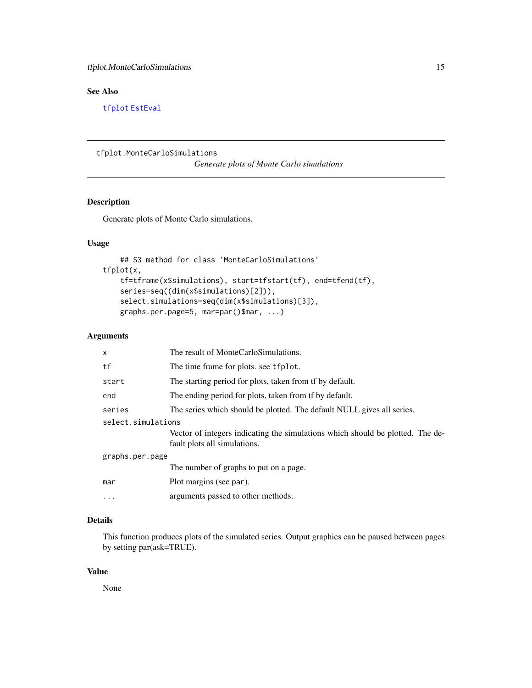### <span id="page-14-0"></span>See Also

[tfplot](#page-0-0) [EstEval](#page-4-1)

<span id="page-14-1"></span>tfplot.MonteCarloSimulations

*Generate plots of Monte Carlo simulations*

#### Description

Generate plots of Monte Carlo simulations.

#### Usage

```
## S3 method for class 'MonteCarloSimulations'
tfplot(x,
   tf=tframe(x$simulations), start=tfstart(tf), end=tfend(tf),
   series=seq((dim(x$simulations)[2])),
   select.simulations=seq(dim(x$simulations)[3]),
   graphs.per.page=5, mar=par()$mar, ...)
```
#### Arguments

| x                  | The result of MonteCarloSimulations.                                                                           |
|--------------------|----------------------------------------------------------------------------------------------------------------|
| tf                 | The time frame for plots, see tfplot.                                                                          |
| start              | The starting period for plots, taken from the by default.                                                      |
| end                | The ending period for plots, taken from tf by default.                                                         |
| series             | The series which should be plotted. The default NULL gives all series.                                         |
| select.simulations |                                                                                                                |
|                    | Vector of integers indicating the simulations which should be plotted. The de-<br>fault plots all simulations. |
| graphs.per.page    |                                                                                                                |
|                    | The number of graphs to put on a page.                                                                         |
| mar                | Plot margins (see par).                                                                                        |
| $\cdots$           | arguments passed to other methods.                                                                             |

#### Details

This function produces plots of the simulated series. Output graphics can be paused between pages by setting par(ask=TRUE).

#### Value

None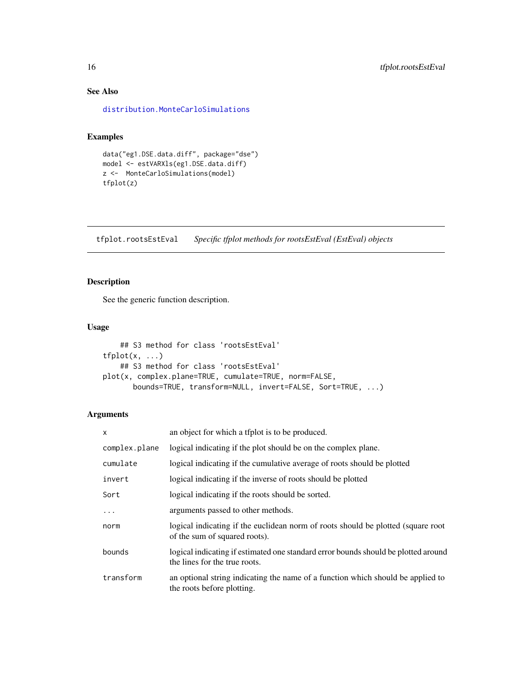### See Also

[distribution.MonteCarloSimulations](#page-2-2)

#### Examples

```
data("eg1.DSE.data.diff", package="dse")
model <- estVARXls(eg1.DSE.data.diff)
z <- MonteCarloSimulations(model)
tfplot(z)
```
tfplot.rootsEstEval *Specific tfplot methods for rootsEstEval (EstEval) objects*

#### Description

See the generic function description.

#### Usage

```
## S3 method for class 'rootsEstEval'
tfplot(x, \ldots)## S3 method for class 'rootsEstEval'
plot(x, complex.plane=TRUE, cumulate=TRUE, norm=FALSE,
       bounds=TRUE, transform=NULL, invert=FALSE, Sort=TRUE, ...)
```

| X             | an object for which a tfplot is to be produced.                                                                     |
|---------------|---------------------------------------------------------------------------------------------------------------------|
| complex.plane | logical indicating if the plot should be on the complex plane.                                                      |
| cumulate      | logical indicating if the cumulative average of roots should be plotted                                             |
| invert        | logical indicating if the inverse of roots should be plotted                                                        |
| Sort          | logical indicating if the roots should be sorted.                                                                   |
| .             | arguments passed to other methods.                                                                                  |
| norm          | logical indicating if the euclidean norm of roots should be plotted (square root<br>of the sum of squared roots).   |
| bounds        | logical indicating if estimated one standard error bounds should be plotted around<br>the lines for the true roots. |
| transform     | an optional string indicating the name of a function which should be applied to<br>the roots before plotting.       |

<span id="page-15-0"></span>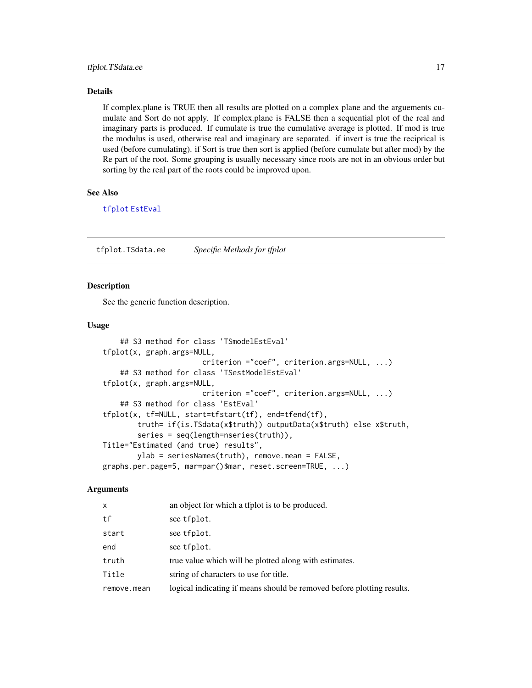#### <span id="page-16-0"></span>tfplot.TSdata.ee 17

#### Details

If complex.plane is TRUE then all results are plotted on a complex plane and the arguements cumulate and Sort do not apply. If complex.plane is FALSE then a sequential plot of the real and imaginary parts is produced. If cumulate is true the cumulative average is plotted. If mod is true the modulus is used, otherwise real and imaginary are separated. if invert is true the reciprical is used (before cumulating). if Sort is true then sort is applied (before cumulate but after mod) by the Re part of the root. Some grouping is usually necessary since roots are not in an obvious order but sorting by the real part of the roots could be improved upon.

#### See Also

[tfplot](#page-0-0) [EstEval](#page-4-1)

tfplot.TSdata.ee *Specific Methods for tfplot*

#### Description

See the generic function description.

#### Usage

```
## S3 method for class 'TSmodelEstEval'
tfplot(x, graph.args=NULL,
                       criterion ="coef", criterion.args=NULL, ...)
    ## S3 method for class 'TSestModelEstEval'
tfplot(x, graph.args=NULL,
                       criterion ="coef", criterion.args=NULL, ...)
    ## S3 method for class 'EstEval'
tfplot(x, tf=NULL, start=tfstart(tf), end=tfend(tf),
       truth= if(is.TSdata(x$truth)) outputData(x$truth) else x$truth,
        series = seq(length=nseries(truth)),
Title="Estimated (and true) results",
       ylab = seriesNames(truth), remove.mean = FALSE,
graphs.per.page=5, mar=par()$mar, reset.screen=TRUE, ...)
```

| <b>X</b>    | an object for which a tfplot is to be produced.                        |
|-------------|------------------------------------------------------------------------|
| tf          | see tfplot.                                                            |
| start       | see tfplot.                                                            |
| end         | see tfplot.                                                            |
| truth       | true value which will be plotted along with estimates.                 |
| Title       | string of characters to use for title.                                 |
| remove.mean | logical indicating if means should be removed before plotting results. |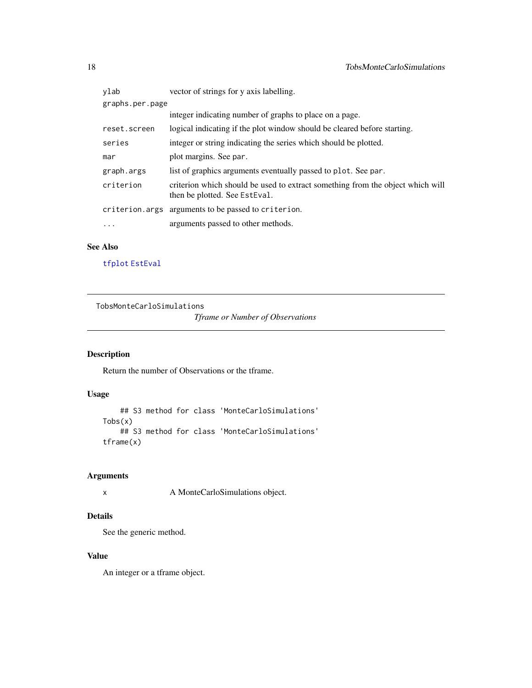<span id="page-17-0"></span>

| ylab            | vector of strings for y axis labelling.                                                                         |  |
|-----------------|-----------------------------------------------------------------------------------------------------------------|--|
| graphs.per.page |                                                                                                                 |  |
|                 | integer indicating number of graphs to place on a page.                                                         |  |
| reset.screen    | logical indicating if the plot window should be cleared before starting.                                        |  |
| series          | integer or string indicating the series which should be plotted.                                                |  |
| mar             | plot margins. See par.                                                                                          |  |
| graph.args      | list of graphics arguments eventually passed to plot. See par.                                                  |  |
| criterion       | criterion which should be used to extract something from the object which will<br>then be plotted. See EstEval. |  |
|                 | criterion.args arguments to be passed to criterion.                                                             |  |
| .               | arguments passed to other methods.                                                                              |  |

#### See Also

[tfplot](#page-0-0) [EstEval](#page-4-1)

TobsMonteCarloSimulations

*Tframe or Number of Observations*

### Description

Return the number of Observations or the tframe.

#### Usage

```
## S3 method for class 'MonteCarloSimulations'
Tobs(x)
    ## S3 method for class 'MonteCarloSimulations'
tframe(x)
```
#### Arguments

x A MonteCarloSimulations object.

#### Details

See the generic method.

#### Value

An integer or a tframe object.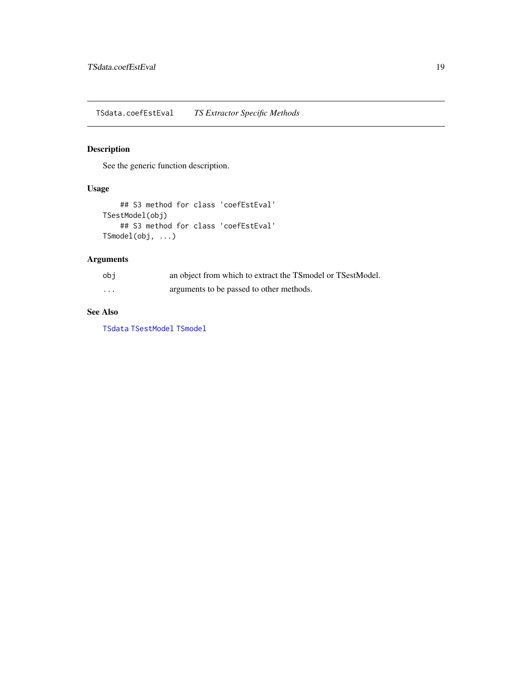<span id="page-18-0"></span>TSdata.coefEstEval *TS Extractor Specific Methods*

#### Description

See the generic function description.

#### Usage

```
## S3 method for class 'coefEstEval'
TSestModel(obj)
   ## S3 method for class 'coefEstEval'
TSmodel(obj, ...)
```
#### Arguments

| obi      | an object from which to extract the TSmodel or TSestModel. |
|----------|------------------------------------------------------------|
| $\cdots$ | arguments to be passed to other methods.                   |

#### See Also

[TSdata](#page-0-0) [TSestModel](#page-0-0) [TSmodel](#page-0-0)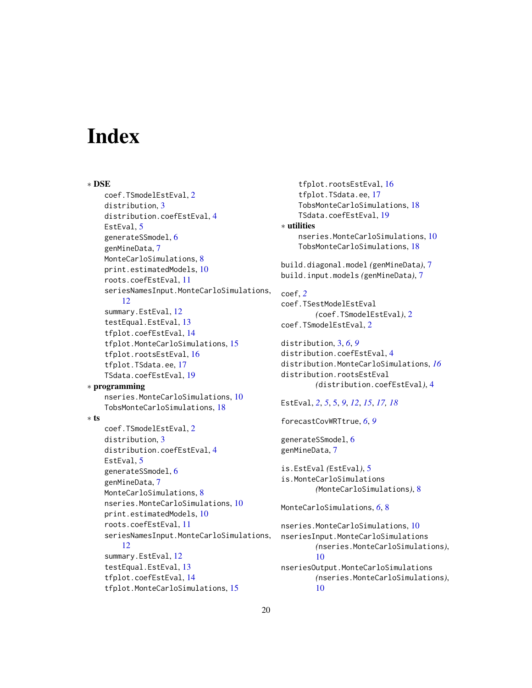# <span id="page-19-0"></span>Index

∗ DSE coef.TSmodelEstEval, [2](#page-1-0) distribution, [3](#page-2-0) distribution.coefEstEval, [4](#page-3-0) EstEval, [5](#page-4-0) generateSSmodel, [6](#page-5-0) genMineData, [7](#page-6-0) MonteCarloSimulations, [8](#page-7-0) print.estimatedModels, [10](#page-9-0) roots.coefEstEval, [11](#page-10-0) seriesNamesInput.MonteCarloSimulations, [12](#page-11-0) summary.EstEval, [12](#page-11-0) testEqual.EstEval, [13](#page-12-0) tfplot.coefEstEval, [14](#page-13-0) tfplot.MonteCarloSimulations, [15](#page-14-0) tfplot.rootsEstEval, [16](#page-15-0) tfplot.TSdata.ee, [17](#page-16-0) TSdata.coefEstEval, [19](#page-18-0) ∗ programming nseries.MonteCarloSimulations, [10](#page-9-0) TobsMonteCarloSimulations, [18](#page-17-0) ∗ ts coef.TSmodelEstEval, [2](#page-1-0) distribution, [3](#page-2-0) distribution.coefEstEval, [4](#page-3-0) EstEval, [5](#page-4-0) generateSSmodel, [6](#page-5-0) genMineData, [7](#page-6-0) MonteCarloSimulations, [8](#page-7-0) nseries.MonteCarloSimulations, [10](#page-9-0) print.estimatedModels, [10](#page-9-0) roots.coefEstEval, [11](#page-10-0) seriesNamesInput.MonteCarloSimulations, [12](#page-11-0) summary.EstEval, [12](#page-11-0) testEqual.EstEval, [13](#page-12-0) tfplot.coefEstEval, [14](#page-13-0) tfplot.MonteCarloSimulations, [15](#page-14-0)

tfplot.rootsEstEval, [16](#page-15-0) tfplot.TSdata.ee, [17](#page-16-0) TobsMonteCarloSimulations, [18](#page-17-0) TSdata.coefEstEval, [19](#page-18-0) ∗ utilities nseries.MonteCarloSimulations, [10](#page-9-0) TobsMonteCarloSimulations, [18](#page-17-0) build.diagonal.model *(*genMineData*)*, [7](#page-6-0) build.input.models *(*genMineData*)*, [7](#page-6-0) coef, *[2](#page-1-0)* coef.TSestModelEstEval *(*coef.TSmodelEstEval*)*, [2](#page-1-0) coef.TSmodelEstEval, [2](#page-1-0) distribution, [3,](#page-2-0) *[6](#page-5-0)*, *[9](#page-8-0)* distribution.coefEstEval, [4](#page-3-0) distribution.MonteCarloSimulations, *[16](#page-15-0)* distribution.rootsEstEval *(*distribution.coefEstEval*)*, [4](#page-3-0) EstEval, *[2](#page-1-0)*, *[5](#page-4-0)*, [5,](#page-4-0) *[9](#page-8-0)*, *[12](#page-11-0)*, *[15](#page-14-0)*, *[17,](#page-16-0) [18](#page-17-0)* forecastCovWRTtrue, *[6](#page-5-0)*, *[9](#page-8-0)* generateSSmodel, [6](#page-5-0) genMineData, [7](#page-6-0) is.EstEval *(*EstEval*)*, [5](#page-4-0) is.MonteCarloSimulations *(*MonteCarloSimulations*)*, [8](#page-7-0) MonteCarloSimulations, *[6](#page-5-0)*, [8](#page-7-0) nseries.MonteCarloSimulations, [10](#page-9-0) nseriesInput.MonteCarloSimulations *(*nseries.MonteCarloSimulations*)*, [10](#page-9-0) nseriesOutput.MonteCarloSimulations *(*nseries.MonteCarloSimulations*)*, [10](#page-9-0)